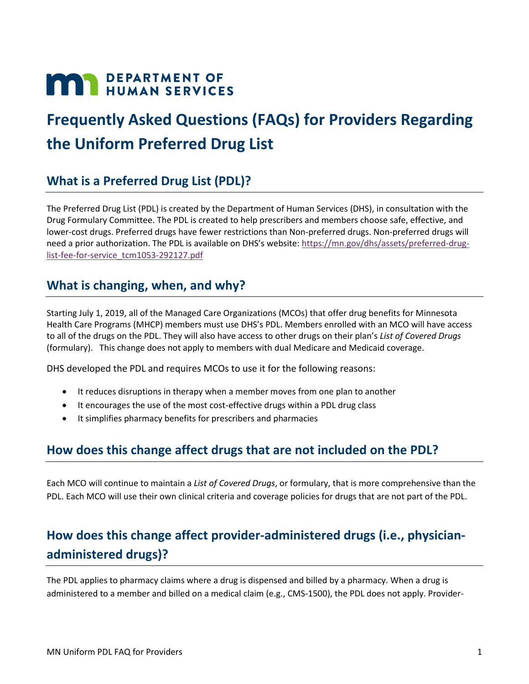# **MAY DEPARTMENT OF HUMAN SERVICES**

## **Frequently Asked Questions (FAQs) for Providers Regarding the Uniform Preferred Drug List**

#### **What is a Preferred Drug List (PDL)?**

The Preferred Drug List (PDL) is created by the Department of Human Services (DHS), in consultation with the Drug Formulary Committee. The PDL is created to help prescribers and members choose safe, effective, and lower-cost drugs. Preferred drugs have fewer restrictions than Non-preferred drugs. Non-preferred drugs will need a prior authorization. The PDL is available on DHS's website: [https://mn.gov/dhs/assets/preferred-drug](https://mn.gov/dhs/assets/preferred-drug-list-fee-for-service_tcm1053-292127.pdf)[list-fee-for-service\\_tcm1053-292127.pdf](https://mn.gov/dhs/assets/preferred-drug-list-fee-for-service_tcm1053-292127.pdf)

#### **What is changing, when, and why?**

Starting July 1, 2019, all of the Managed Care Organizations (MCOs) that offer drug benefits for Minnesota Health Care Programs (MHCP) members must use DHS's PDL. Members enrolled with an MCO will have access to all of the drugs on the PDL. They will also have access to other drugs on their plan's *List of Covered Drugs* (formulary). This change does not apply to members with dual Medicare and Medicaid coverage.

DHS developed the PDL and requires MCOs to use it for the following reasons:

- It reduces disruptions in therapy when a member moves from one plan to another
- It encourages the use of the most cost-effective drugs within a PDL drug class
- It simplifies pharmacy benefits for prescribers and pharmacies

#### **How does this change affect drugs that are not included on the PDL?**

Each MCO will continue to maintain a *List of Covered Drugs*, or formulary, that is more comprehensive than the PDL. Each MCO will use their own clinical criteria and coverage policies for drugs that are not part of the PDL.

## **How does this change affect provider-administered drugs (i.e., physicianadministered drugs)?**

The PDL applies to pharmacy claims where a drug is dispensed and billed by a pharmacy. When a drug is administered to a member and billed on a medical claim (e.g., CMS-1500), the PDL does not apply. Provider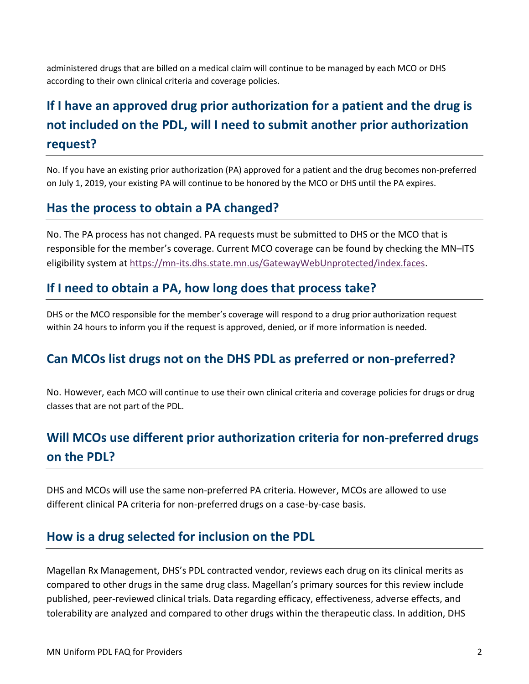administered drugs that are billed on a medical claim will continue to be managed by each MCO or DHS according to their own clinical criteria and coverage policies.

## **If I have an approved drug prior authorization for a patient and the drug is not included on the PDL, will I need to submit another prior authorization request?**

No. If you have an existing prior authorization (PA) approved for a patient and the drug becomes non-preferred on July 1, 2019, your existing PA will continue to be honored by the MCO or DHS until the PA expires.

#### **Has the process to obtain a PA changed?**

No. The PA process has not changed. PA requests must be submitted to DHS or the MCO that is responsible for the member's coverage. Current MCO coverage can be found by checking the MN–ITS eligibility system at [https://mn-its.dhs.state.mn.us/GatewayWebUnprotected/index.faces.](https://mn-its.dhs.state.mn.us/GatewayWebUnprotected/index.faces)

#### **If I need to obtain a PA, how long does that process take?**

DHS or the MCO responsible for the member's coverage will respond to a drug prior authorization request within 24 hours to inform you if the request is approved, denied, or if more information is needed.

#### **Can MCOs list drugs not on the DHS PDL as preferred or non-preferred?**

No. However, each MCO will continue to use their own clinical criteria and coverage policies for drugs or drug classes that are not part of the PDL.

## **Will MCOs use different prior authorization criteria for non-preferred drugs on the PDL?**

DHS and MCOs will use the same non-preferred PA criteria. However, MCOs are allowed to use different clinical PA criteria for non-preferred drugs on a case-by-case basis.

#### **How is a drug selected for inclusion on the PDL**

Magellan Rx Management, DHS's PDL contracted vendor, reviews each drug on its clinical merits as compared to other drugs in the same drug class. Magellan's primary sources for this review include published, peer-reviewed clinical trials. Data regarding efficacy, effectiveness, adverse effects, and tolerability are analyzed and compared to other drugs within the therapeutic class. In addition, DHS